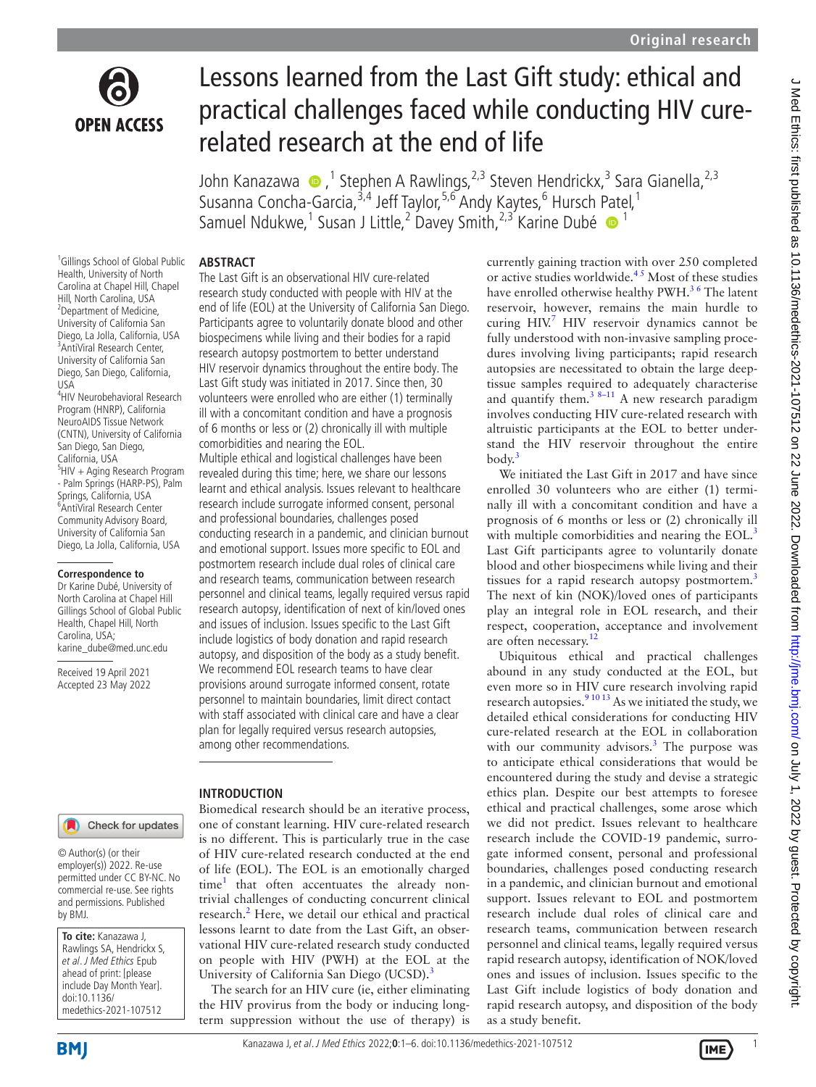

# Lessons learned from the Last Gift study: ethical and practical challenges faced while conducting HIV curerelated research at the end of life

John Kanazawa (D, <sup>1</sup> Stephen A Rawlings, 2,3 Steven Hendrickx, 3 Sara Gianella, 2,3 Susanna Concha-Garcia,<sup>3,4</sup> Jeff Taylor,<sup>5,6</sup> Andy Kaytes,<sup>6</sup> Hursch [Pat](http://orcid.org/0000-0003-3458-1539)el,<sup>1</sup> Samuel Ndukwe,<sup>1</sup> Susan J Little,<sup>2</sup> Davey Smith,<sup>2,3</sup> Karine Dubé <sup>1</sup>

## **ABSTRACT**

<sup>1</sup>Gillings School of Global Public Health, University of North Carolina at Chapel Hill, Chapel Hill, North Carolina, USA 2 Department of Medicine, University of California San Diego, La Jolla, California, USA 3 AntiViral Research Center, University of California San Diego, San Diego, California, USA

4 HIV Neurobehavioral Research Program (HNRP), California NeuroAIDS Tissue Network (CNTN), University of California San Diego, San Diego, California, USA 5 HIV + Aging Research Program - Palm Springs (HARP-PS), Palm Springs, California, USA 6 AntiViral Research Center Community Advisory Board, University of California San Diego, La Jolla, California, USA

#### **Correspondence to**

Dr Karine Dubé, University of North Carolina at Chapel Hill Gillings School of Global Public Health, Chapel Hill, North Carolina, USA; karine\_dube@med.unc.edu

Received 19 April 2021 Accepted 23 May 2022 The Last Gift is an observational HIV cure-related research study conducted with people with HIV at the end of life (EOL) at the University of California San Diego. Participants agree to voluntarily donate blood and other biospecimens while living and their bodies for a rapid research autopsy postmortem to better understand HIV reservoir dynamics throughout the entire body. The Last Gift study was initiated in 2017. Since then, 30 volunteers were enrolled who are either (1) terminally ill with a concomitant condition and have a prognosis of 6 months or less or (2) chronically ill with multiple comorbidities and nearing the EOL.

Multiple ethical and logistical challenges have been revealed during this time; here, we share our lessons learnt and ethical analysis. Issues relevant to healthcare research include surrogate informed consent, personal and professional boundaries, challenges posed conducting research in a pandemic, and clinician burnout and emotional support. Issues more specific to EOL and postmortem research include dual roles of clinical care and research teams, communication between research personnel and clinical teams, legally required versus rapid research autopsy, identification of next of kin/loved ones and issues of inclusion. Issues specific to the Last Gift include logistics of body donation and rapid research autopsy, and disposition of the body as a study benefit. We recommend EOL research teams to have clear provisions around surrogate informed consent, rotate personnel to maintain boundaries, limit direct contact with staff associated with clinical care and have a clear plan for legally required versus research autopsies, among other recommendations.

## **INTRODUCTION**

## Check for updates

© Author(s) (or their employer(s)) 2022. Re-use permitted under CC BY-NC. No commercial re-use. See rights and permissions. Published by BMJ.

Biomedical research should be an iterative process, one of constant learning. HIV cure-related research is no different. This is particularly true in the case of HIV cure-related research conducted at the end of life (EOL). The EOL is an emotionally charged time<sup>1</sup> that often accentuates the already nontrivial challenges of conducting concurrent clinical research.<sup>[2](#page-5-1)</sup> Here, we detail our ethical and practical lessons learnt to date from the Last Gift, an observational HIV cure-related research study conducted on people with HIV (PWH) at the EOL at the University of California San Diego (UCSD).<sup>[3](#page-5-2)</sup>

The search for an HIV cure (ie, either eliminating the HIV provirus from the body or inducing longterm suppression without the use of therapy) is

currently gaining traction with over 250 completed or active studies worldwide.<sup>45</sup> Most of these studies have enrolled otherwise healthy PWH.<sup>36</sup> The latent reservoir, however, remains the main hurdle to curing HIV.<sup>[7](#page-5-4)</sup> HIV reservoir dynamics cannot be fully understood with non-invasive sampling procedures involving living participants; rapid research autopsies are necessitated to obtain the large deeptissue samples required to adequately characterise and quantify them.<sup>[3 8–11](#page-5-2)</sup> A new research paradigm</sup> involves conducting HIV cure-related research with altruistic participants at the EOL to better understand the HIV reservoir throughout the entire  $body.$ <sup>3</sup>

We initiated the Last Gift in 2017 and have since enrolled 30 volunteers who are either (1) terminally ill with a concomitant condition and have a prognosis of 6 months or less or (2) chronically ill with multiple comorbidities and nearing the EOL.<sup>[3](#page-5-2)</sup> Last Gift participants agree to voluntarily donate blood and other biospecimens while living and their tissues for a rapid research autopsy postmortem.<sup>[3](#page-5-2)</sup> The next of kin (NOK)/loved ones of participants play an integral role in EOL research, and their respect, cooperation, acceptance and involvement are often necessary.<sup>12</sup>

Ubiquitous ethical and practical challenges abound in any study conducted at the EOL, but even more so in HIV cure research involving rapid research autopsies.<sup>9 10 13</sup> As we initiated the study, we detailed ethical considerations for conducting HIV cure-related research at the EOL in collaboration with our community advisors.<sup>[3](#page-5-2)</sup> The purpose was to anticipate ethical considerations that would be encountered during the study and devise a strategic ethics plan. Despite our best attempts to foresee ethical and practical challenges, some arose which we did not predict. Issues relevant to healthcare research include the COVID-19 pandemic, surrogate informed consent, personal and professional boundaries, challenges posed conducting research in a pandemic, and clinician burnout and emotional support. Issues relevant to EOL and postmortem research include dual roles of clinical care and research teams, communication between research personnel and clinical teams, legally required versus rapid research autopsy, identification of NOK/loved ones and issues of inclusion. Issues specific to the Last Gift include logistics of body donation and rapid research autopsy, and disposition of the body as a study benefit.

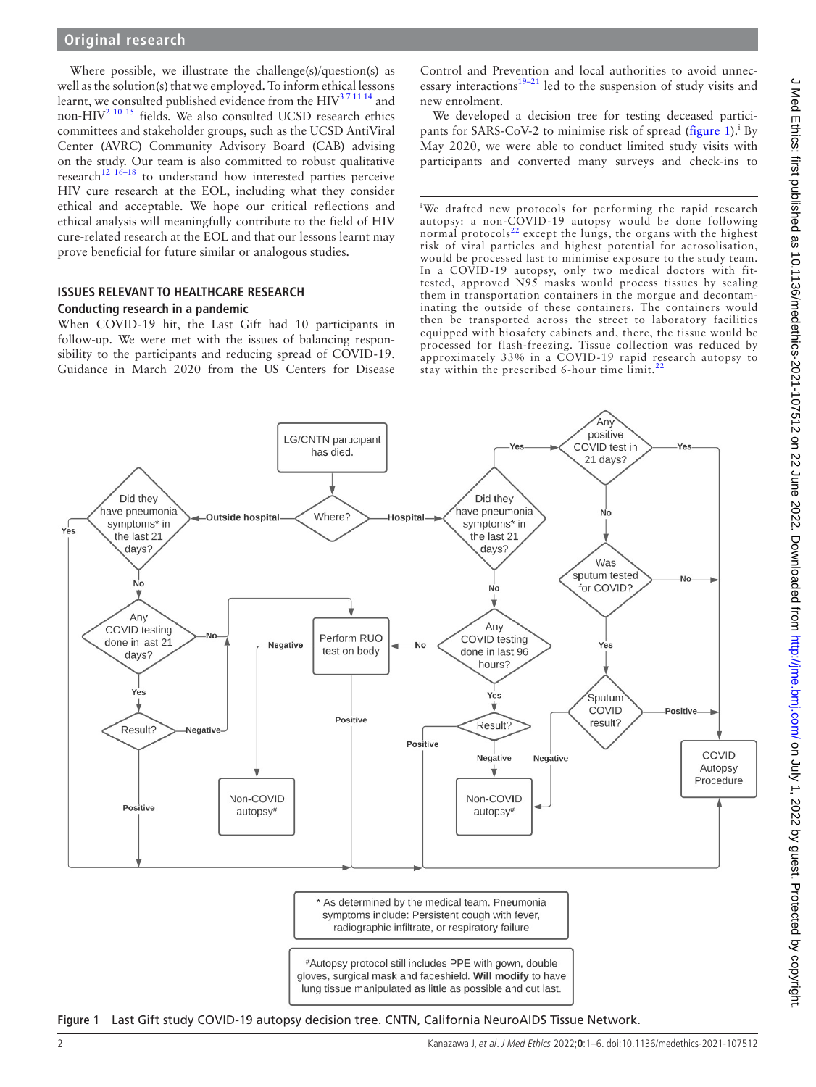## **Original research**

Where possible, we illustrate the challenge(s)/question(s) as well as the solution(s) that we employed. To inform ethical lessons learnt, we consulted published evidence from the HIV<sup>371114</sup> and non-HIV<sup>[2 10 15](#page-5-1)</sup> fields. We also consulted UCSD research ethics committees and stakeholder groups, such as the UCSD AntiViral Center (AVRC) Community Advisory Board (CAB) advising on the study. Our team is also committed to robust qualitative  $research$ <sup>12 16–18</sup> to understand how interested parties perceive HIV cure research at the EOL, including what they consider ethical and acceptable. We hope our critical reflections and ethical analysis will meaningfully contribute to the field of HIV cure-related research at the EOL and that our lessons learnt may prove beneficial for future similar or analogous studies.

## **ISSUES RELEVANT TO HEALTHCARE RESEARCH Conducting research in a pandemic**

When COVID-19 hit, the Last Gift had 10 participants in follow-up. We were met with the issues of balancing responsibility to the participants and reducing spread of COVID-19. Guidance in March 2020 from the US Centers for Disease Control and Prevention and local authorities to avoid unnecessary interactions $19-21$  led to the suspension of study visits and new enrolment.

We developed a decision tree for testing deceased partici-pants for SARS-CoV-2 to minimise risk of spread [\(figure](#page-1-0) 1).<sup>i</sup> By May 2020, we were able to conduct limited study visits with participants and converted many surveys and check-ins to

We drafted new protocols for performing the rapid research autopsy: a non-COVID-19 autopsy would be done following normal protocols<sup>[22](#page-5-8)</sup> except the lungs, the organs with the highest risk of viral particles and highest potential for aerosolisation, would be processed last to minimise exposure to the study team. In a COVID-19 autopsy, only two medical doctors with fittested, approved N95 masks would process tissues by sealing them in transportation containers in the morgue and decontaminating the outside of these containers. The containers would then be transported across the street to laboratory facilities equipped with biosafety cabinets and, there, the tissue would be processed for flash-freezing. Tissue collection was reduced by approximately 33% in a COVID-19 rapid research autopsy to stay within the prescribed 6-hour time limit.<sup>2</sup>



<span id="page-1-0"></span>**Figure 1** Last Gift study COVID-19 autopsy decision tree. CNTN, California NeuroAIDS Tissue Network.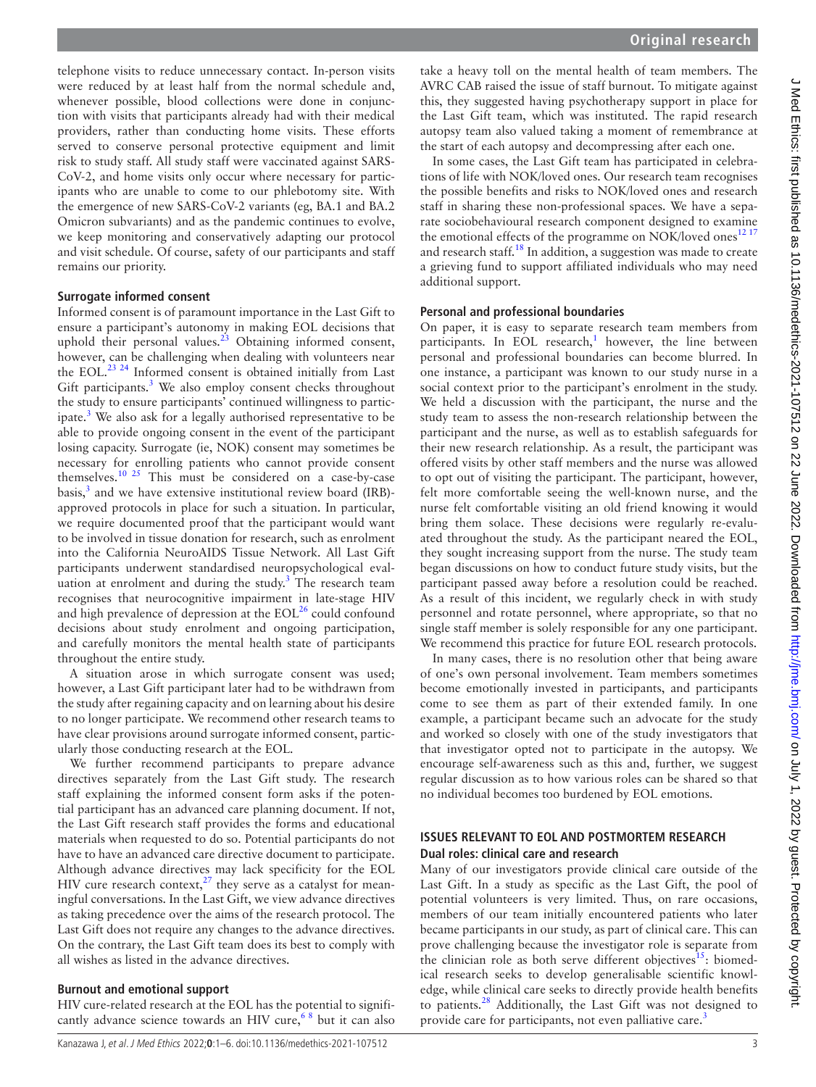J Med Ethics: first published as 10.1136/medethics-2021-107512 on 22 June 2022. Downloaded from http://jme.bmj.com/ on July 1, 2022 by guest. Protected by copyright J Med Ethics: first published as 10.1136/medethics-2021-107512 on 22 June 2022. Downloaded from <http://jme.bmj.com/> on July 1, 2022 by guest. Protected by copyright.

telephone visits to reduce unnecessary contact. In-person visits were reduced by at least half from the normal schedule and, whenever possible, blood collections were done in conjunction with visits that participants already had with their medical providers, rather than conducting home visits. These efforts served to conserve personal protective equipment and limit risk to study staff. All study staff were vaccinated against SARS-CoV-2, and home visits only occur where necessary for participants who are unable to come to our phlebotomy site. With the emergence of new SARS-CoV-2 variants (eg, BA.1 and BA.2 Omicron subvariants) and as the pandemic continues to evolve, we keep monitoring and conservatively adapting our protocol and visit schedule. Of course, safety of our participants and staff remains our priority.

## **Surrogate informed consent**

Informed consent is of paramount importance in the Last Gift to ensure a participant's autonomy in making EOL decisions that uphold their personal values.<sup>23</sup> Obtaining informed consent, however, can be challenging when dealing with volunteers near the EOL.<sup>23 24</sup> Informed consent is obtained initially from Last Gift participants. $3$  We also employ consent checks throughout the study to ensure participants' continued willingness to participate.<sup>3</sup> We also ask for a legally authorised representative to be able to provide ongoing consent in the event of the participant losing capacity. Surrogate (ie, NOK) consent may sometimes be necessary for enrolling patients who cannot provide consent themselves.[10 25](#page-5-10) This must be considered on a case-by-case basis,<sup>[3](#page-5-2)</sup> and we have extensive institutional review board (IRB)approved protocols in place for such a situation. In particular, we require documented proof that the participant would want to be involved in tissue donation for research, such as enrolment into the California NeuroAIDS Tissue Network. All Last Gift participants underwent standardised neuropsychological eval-uation at enrolment and during the study.<sup>[3](#page-5-2)</sup> The research team recognises that neurocognitive impairment in late-stage HIV and high prevalence of depression at the  $EOL<sup>26</sup>$  $EOL<sup>26</sup>$  $EOL<sup>26</sup>$  could confound decisions about study enrolment and ongoing participation, and carefully monitors the mental health state of participants throughout the entire study.

A situation arose in which surrogate consent was used; however, a Last Gift participant later had to be withdrawn from the study after regaining capacity and on learning about his desire to no longer participate. We recommend other research teams to have clear provisions around surrogate informed consent, particularly those conducting research at the EOL.

We further recommend participants to prepare advance directives separately from the Last Gift study. The research staff explaining the informed consent form asks if the potential participant has an advanced care planning document. If not, the Last Gift research staff provides the forms and educational materials when requested to do so. Potential participants do not have to have an advanced care directive document to participate. Although advance directives may lack specificity for the EOL HIV cure research context, $27$  they serve as a catalyst for meaningful conversations. In the Last Gift, we view advance directives as taking precedence over the aims of the research protocol. The Last Gift does not require any changes to the advance directives. On the contrary, the Last Gift team does its best to comply with all wishes as listed in the advance directives.

## **Burnout and emotional support**

HIV cure-related research at the EOL has the potential to significantly advance science towards an HIV cure,  $68$  but it can also take a heavy toll on the mental health of team members. The AVRC CAB raised the issue of staff burnout. To mitigate against this, they suggested having psychotherapy support in place for the Last Gift team, which was instituted. The rapid research autopsy team also valued taking a moment of remembrance at the start of each autopsy and decompressing after each one.

In some cases, the Last Gift team has participated in celebrations of life with NOK/loved ones. Our research team recognises the possible benefits and risks to NOK/loved ones and research staff in sharing these non-professional spaces. We have a separate sociobehavioural research component designed to examine the emotional effects of the programme on NOK/loved ones<sup>[12 17](#page-5-5)</sup> and research staff[.18](#page-5-14) In addition, a suggestion was made to create a grieving fund to support affiliated individuals who may need additional support.

## **Personal and professional boundaries**

On paper, it is easy to separate research team members from participants. In EOL research,<sup>[1](#page-5-0)</sup> however, the line between personal and professional boundaries can become blurred. In one instance, a participant was known to our study nurse in a social context prior to the participant's enrolment in the study. We held a discussion with the participant, the nurse and the study team to assess the non-research relationship between the participant and the nurse, as well as to establish safeguards for their new research relationship. As a result, the participant was offered visits by other staff members and the nurse was allowed to opt out of visiting the participant. The participant, however, felt more comfortable seeing the well-known nurse, and the nurse felt comfortable visiting an old friend knowing it would bring them solace. These decisions were regularly re-evaluated throughout the study. As the participant neared the EOL, they sought increasing support from the nurse. The study team began discussions on how to conduct future study visits, but the participant passed away before a resolution could be reached. As a result of this incident, we regularly check in with study personnel and rotate personnel, where appropriate, so that no single staff member is solely responsible for any one participant. We recommend this practice for future EOL research protocols.

In many cases, there is no resolution other that being aware of one's own personal involvement. Team members sometimes become emotionally invested in participants, and participants come to see them as part of their extended family. In one example, a participant became such an advocate for the study and worked so closely with one of the study investigators that that investigator opted not to participate in the autopsy. We encourage self-awareness such as this and, further, we suggest regular discussion as to how various roles can be shared so that no individual becomes too burdened by EOL emotions.

## **ISSUES RELEVANT TO EOL AND POSTMORTEM RESEARCH Dual roles: clinical care and research**

Many of our investigators provide clinical care outside of the Last Gift. In a study as specific as the Last Gift, the pool of potential volunteers is very limited. Thus, on rare occasions, members of our team initially encountered patients who later became participants in our study, as part of clinical care. This can prove challenging because the investigator role is separate from the clinician role as both serve different objectives<sup>15</sup>: biomedical research seeks to develop generalisable scientific knowledge, while clinical care seeks to directly provide health benefits to patients.[28](#page-5-16) Additionally, the Last Gift was not designed to provide care for participants, not even palliative care.<sup>3</sup>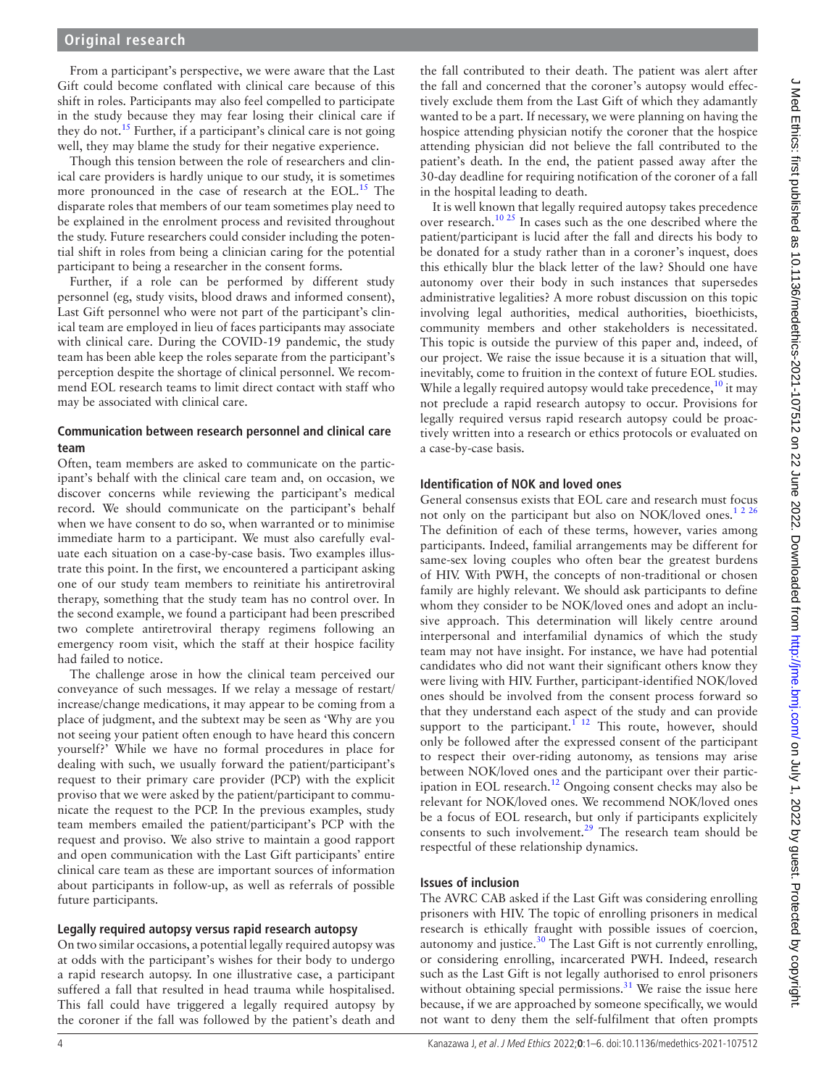# **Original research**

From a participant's perspective, we were aware that the Last Gift could become conflated with clinical care because of this shift in roles. Participants may also feel compelled to participate in the study because they may fear losing their clinical care if they do not.<sup>[15](#page-5-15)</sup> Further, if a participant's clinical care is not going well, they may blame the study for their negative experience.

Though this tension between the role of researchers and clinical care providers is hardly unique to our study, it is sometimes more pronounced in the case of research at the EOL.<sup>15</sup> The disparate roles that members of our team sometimes play need to be explained in the enrolment process and revisited throughout the study. Future researchers could consider including the potential shift in roles from being a clinician caring for the potential participant to being a researcher in the consent forms.

Further, if a role can be performed by different study personnel (eg, study visits, blood draws and informed consent), Last Gift personnel who were not part of the participant's clinical team are employed in lieu of faces participants may associate with clinical care. During the COVID-19 pandemic, the study team has been able keep the roles separate from the participant's perception despite the shortage of clinical personnel. We recommend EOL research teams to limit direct contact with staff who may be associated with clinical care.

## **Communication between research personnel and clinical care team**

Often, team members are asked to communicate on the participant's behalf with the clinical care team and, on occasion, we discover concerns while reviewing the participant's medical record. We should communicate on the participant's behalf when we have consent to do so, when warranted or to minimise immediate harm to a participant. We must also carefully evaluate each situation on a case-by-case basis. Two examples illustrate this point. In the first, we encountered a participant asking one of our study team members to reinitiate his antiretroviral therapy, something that the study team has no control over. In the second example, we found a participant had been prescribed two complete antiretroviral therapy regimens following an emergency room visit, which the staff at their hospice facility had failed to notice.

The challenge arose in how the clinical team perceived our conveyance of such messages. If we relay a message of restart/ increase/change medications, it may appear to be coming from a place of judgment, and the subtext may be seen as 'Why are you not seeing your patient often enough to have heard this concern yourself?' While we have no formal procedures in place for dealing with such, we usually forward the patient/participant's request to their primary care provider (PCP) with the explicit proviso that we were asked by the patient/participant to communicate the request to the PCP. In the previous examples, study team members emailed the patient/participant's PCP with the request and proviso. We also strive to maintain a good rapport and open communication with the Last Gift participants' entire clinical care team as these are important sources of information about participants in follow-up, as well as referrals of possible future participants.

## **Legally required autopsy versus rapid research autopsy**

On two similar occasions, a potential legally required autopsy was at odds with the participant's wishes for their body to undergo a rapid research autopsy. In one illustrative case, a participant suffered a fall that resulted in head trauma while hospitalised. This fall could have triggered a legally required autopsy by the coroner if the fall was followed by the patient's death and the fall contributed to their death. The patient was alert after the fall and concerned that the coroner's autopsy would effectively exclude them from the Last Gift of which they adamantly wanted to be a part. If necessary, we were planning on having the hospice attending physician notify the coroner that the hospice attending physician did not believe the fall contributed to the patient's death. In the end, the patient passed away after the 30-day deadline for requiring notification of the coroner of a fall in the hospital leading to death.

It is well known that legally required autopsy takes precedence over research.<sup>10 25</sup> In cases such as the one described where the patient/participant is lucid after the fall and directs his body to be donated for a study rather than in a coroner's inquest, does this ethically blur the black letter of the law? Should one have autonomy over their body in such instances that supersedes administrative legalities? A more robust discussion on this topic involving legal authorities, medical authorities, bioethicists, community members and other stakeholders is necessitated. This topic is outside the purview of this paper and, indeed, of our project. We raise the issue because it is a situation that will, inevitably, come to fruition in the context of future EOL studies. While a legally required autopsy would take precedence,  $\frac{10}{10}$  it may not preclude a rapid research autopsy to occur. Provisions for legally required versus rapid research autopsy could be proactively written into a research or ethics protocols or evaluated on a case-by-case basis.

## **Identification of NOK and loved ones**

General consensus exists that EOL care and research must focus not only on the participant but also on NOK/loved ones.<sup>1 2 26</sup> The definition of each of these terms, however, varies among participants. Indeed, familial arrangements may be different for same-sex loving couples who often bear the greatest burdens of HIV. With PWH, the concepts of non-traditional or chosen family are highly relevant. We should ask participants to define whom they consider to be NOK/loved ones and adopt an inclusive approach. This determination will likely centre around interpersonal and interfamilial dynamics of which the study team may not have insight. For instance, we have had potential candidates who did not want their significant others know they were living with HIV. Further, participant-identified NOK/loved ones should be involved from the consent process forward so that they understand each aspect of the study and can provide support to the participant.<sup>1 12</sup> This route, however, should only be followed after the expressed consent of the participant to respect their over-riding autonomy, as tensions may arise between NOK/loved ones and the participant over their participation in EOL research[.12](#page-5-5) Ongoing consent checks may also be relevant for NOK/loved ones. We recommend NOK/loved ones be a focus of EOL research, but only if participants explicitely consents to such involvement.<sup>[29](#page-5-17)</sup> The research team should be respectful of these relationship dynamics.

## **Issues of inclusion**

The AVRC CAB asked if the Last Gift was considering enrolling prisoners with HIV. The topic of enrolling prisoners in medical research is ethically fraught with possible issues of coercion, autonomy and justice. $30$  The Last Gift is not currently enrolling, or considering enrolling, incarcerated PWH. Indeed, research such as the Last Gift is not legally authorised to enrol prisoners without obtaining special permissions. $31$  We raise the issue here because, if we are approached by someone specifically, we would not want to deny them the self-fulfilment that often prompts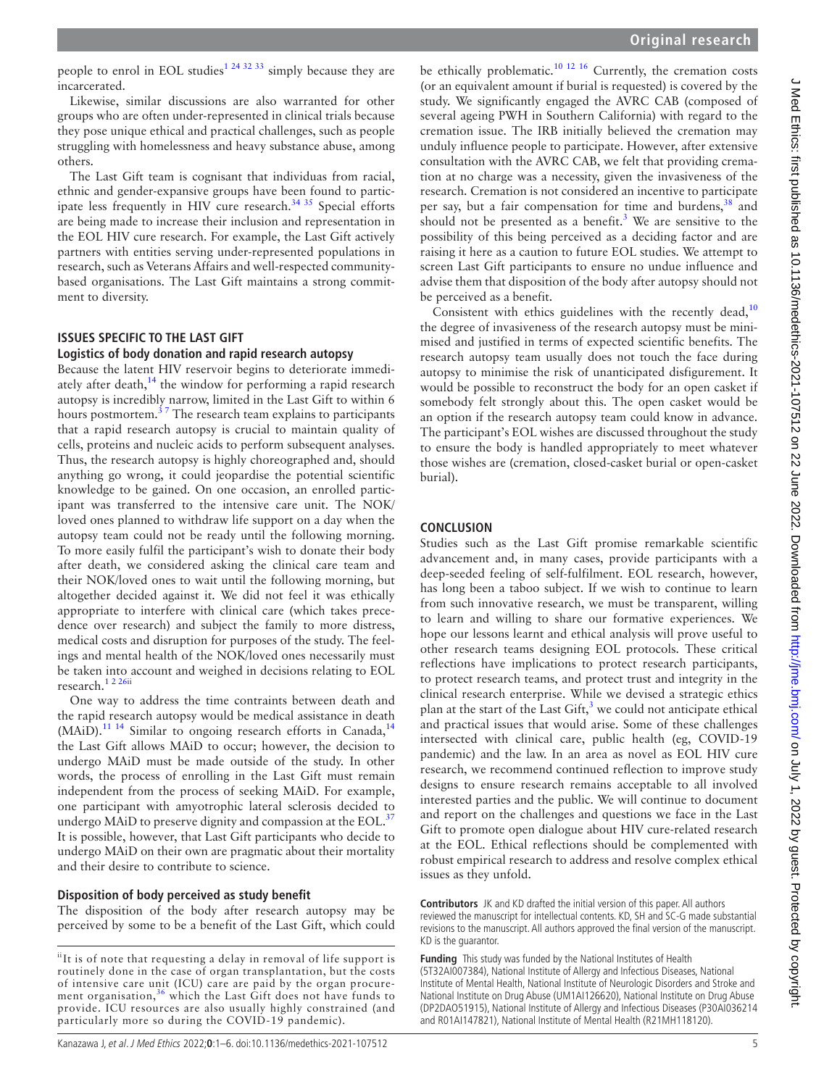people to enrol in EOL studies<sup>1 24 32 33</sup> simply because they are incarcerated.

Likewise, similar discussions are also warranted for other groups who are often under-represented in clinical trials because they pose unique ethical and practical challenges, such as people struggling with homelessness and heavy substance abuse, among others.

The Last Gift team is cognisant that individuas from racial, ethnic and gender-expansive groups have been found to participate less frequently in HIV cure research.<sup>34 35</sup> Special efforts are being made to increase their inclusion and representation in the EOL HIV cure research. For example, the Last Gift actively partners with entities serving under-represented populations in research, such as Veterans Affairs and well-respected communitybased organisations. The Last Gift maintains a strong commitment to diversity.

# **ISSUES SPECIFIC TO THE LAST GIFT**

## **Logistics of body donation and rapid research autopsy**

Because the latent HIV reservoir begins to deteriorate immedi-ately after death,<sup>[14](#page-5-21)</sup> the window for performing a rapid research autopsy is incredibly narrow, limited in the Last Gift to within 6 hours postmortem. $3^7$  The research team explains to participants that a rapid research autopsy is crucial to maintain quality of cells, proteins and nucleic acids to perform subsequent analyses. Thus, the research autopsy is highly choreographed and, should anything go wrong, it could jeopardise the potential scientific knowledge to be gained. On one occasion, an enrolled participant was transferred to the intensive care unit. The NOK/ loved ones planned to withdraw life support on a day when the autopsy team could not be ready until the following morning. To more easily fulfil the participant's wish to donate their body after death, we considered asking the clinical care team and their NOK/loved ones to wait until the following morning, but altogether decided against it. We did not feel it was ethically appropriate to interfere with clinical care (which takes precedence over research) and subject the family to more distress, medical costs and disruption for purposes of the study. The feelings and mental health of the NOK/loved ones necessarily must be taken into account and weighed in decisions relating to EOL research[.1 2 26i](#page-5-0)i

One way to address the time contraints between death and the rapid research autopsy would be medical assistance in death  $(MAiD).$ <sup>11 [14](#page-5-21)</sup> Similar to ongoing research efforts in Canada,<sup>14</sup> the Last Gift allows MAiD to occur; however, the decision to undergo MAiD must be made outside of the study. In other words, the process of enrolling in the Last Gift must remain independent from the process of seeking MAiD. For example, one participant with amyotrophic lateral sclerosis decided to undergo MAiD to preserve dignity and compassion at the EOL.<sup>[37](#page-5-23)</sup> It is possible, however, that Last Gift participants who decide to undergo MAiD on their own are pragmatic about their mortality and their desire to contribute to science.

## **Disposition of body perceived as study benefit**

The disposition of the body after research autopsy may be perceived by some to be a benefit of the Last Gift, which could be ethically problematic.<sup>10 12 16</sup> Currently, the cremation costs (or an equivalent amount if burial is requested) is covered by the study. We significantly engaged the AVRC CAB (composed of several ageing PWH in Southern California) with regard to the cremation issue. The IRB initially believed the cremation may unduly influence people to participate. However, after extensive consultation with the AVRC CAB, we felt that providing cremation at no charge was a necessity, given the invasiveness of the research. Cremation is not considered an incentive to participate per say, but a fair compensation for time and burdens,<sup>[38](#page-5-25)</sup> and should not be presented as a benefit.<sup>[3](#page-5-2)</sup> We are sensitive to the possibility of this being perceived as a deciding factor and are raising it here as a caution to future EOL studies. We attempt to screen Last Gift participants to ensure no undue influence and advise them that disposition of the body after autopsy should not be perceived as a benefit.

Consistent with ethics guidelines with the recently dead, $10$ the degree of invasiveness of the research autopsy must be minimised and justified in terms of expected scientific benefits. The research autopsy team usually does not touch the face during autopsy to minimise the risk of unanticipated disfigurement. It would be possible to reconstruct the body for an open casket if somebody felt strongly about this. The open casket would be an option if the research autopsy team could know in advance. The participant's EOL wishes are discussed throughout the study to ensure the body is handled appropriately to meet whatever those wishes are (cremation, closed-casket burial or open-casket burial).

## **CONCLUSION**

Studies such as the Last Gift promise remarkable scientific advancement and, in many cases, provide participants with a deep-seeded feeling of self-fulfilment. EOL research, however, has long been a taboo subject. If we wish to continue to learn from such innovative research, we must be transparent, willing to learn and willing to share our formative experiences. We hope our lessons learnt and ethical analysis will prove useful to other research teams designing EOL protocols. These critical reflections have implications to protect research participants, to protect research teams, and protect trust and integrity in the clinical research enterprise. While we devised a strategic ethics plan at the start of the Last Gift, $3$  we could not anticipate ethical and practical issues that would arise. Some of these challenges intersected with clinical care, public health (eg, COVID-19 pandemic) and the law. In an area as novel as EOL HIV cure research, we recommend continued reflection to improve study designs to ensure research remains acceptable to all involved interested parties and the public. We will continue to document and report on the challenges and questions we face in the Last Gift to promote open dialogue about HIV cure-related research at the EOL. Ethical reflections should be complemented with robust empirical research to address and resolve complex ethical issues as they unfold.

**Contributors** JK and KD drafted the initial version of this paper. All authors reviewed the manuscript for intellectual contents. KD, SH and SC-G made substantial revisions to the manuscript. All authors approved the final version of the manuscript. KD is the guarantor.

**Funding** This study was funded by the National Institutes of Health (5T32AI007384), National Institute of Allergy and Infectious Diseases, National Institute of Mental Health, National Institute of Neurologic Disorders and Stroke and National Institute on Drug Abuse (UM1AI126620), National Institute on Drug Abuse (DP2DAO51915), National Institute of Allergy and Infectious Diseases (P30AI036214 and R01AI147821), National Institute of Mental Health (R21MH118120).

i<sup>i</sup>It is of note that requesting a delay in removal of life support is routinely done in the case of organ transplantation, but the costs of intensive care unit (ICU) care are paid by the organ procurement organisation, $36$  which the Last Gift does not have funds to provide. ICU resources are also usually highly constrained (and particularly more so during the COVID-19 pandemic).